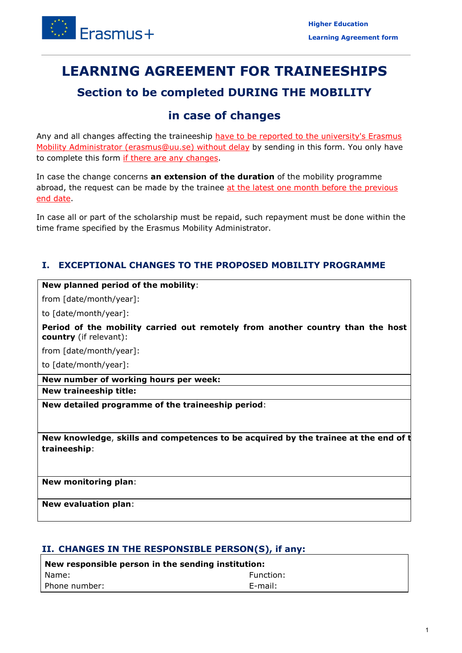

# **LEARNING AGREEMENT FOR TRAINEESHIPS**

## **Section to be completed DURING THE MOBILITY**

## **in case of changes**

Any and all changes affecting the traineeship have to be reported to the university's Erasmus Mobility Administrator [\(erasmus@uu.se\)](mailto:erasmus@uu.se) without delay by sending in this form. You only have to complete this form if there are any changes.

In case the change concerns **an extension of the duration** of the mobility programme abroad, the request can be made by the trainee at the latest one month before the previous end date.

 In case all or part of the scholarship must be repaid, such repayment must be done within the time frame specified by the Erasmus Mobility Administrator.

## **I. EXCEPTIONAL CHANGES TO THE PROPOSED MOBILITY PROGRAMME**

#### **New planned period of the mobility**:

from [date/month/year]:

to [date/month/year]:

**Period of the mobility carried out remotely from another country than the host country** (if relevant):

from [date/month/year]:

to [date/month/year]:

 **New number of working hours per week:** 

**New traineeship title:** 

**New detailed programme of the traineeship period**:

 **New knowledge**, **skills and competences to be acquired by the trainee at the end of t traineeship**:

**New monitoring plan**:

**New evaluation plan**:

### **II. CHANGES IN THE RESPONSIBLE PERSON(S), if any:**

| New responsible person in the sending institution: |            |
|----------------------------------------------------|------------|
| I Name:                                            | Function:  |
| l Phone number:                                    | $E$ -mail: |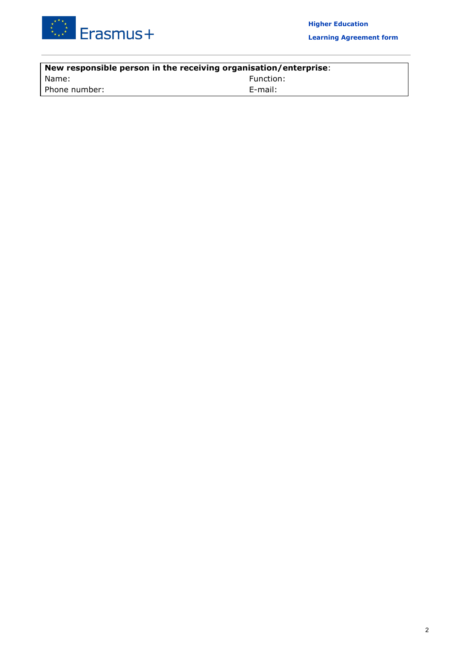

| New responsible person in the receiving organisation/enterprise: |            |
|------------------------------------------------------------------|------------|
| Name:                                                            | Function:  |
| Phone number:                                                    | $E$ -mail: |